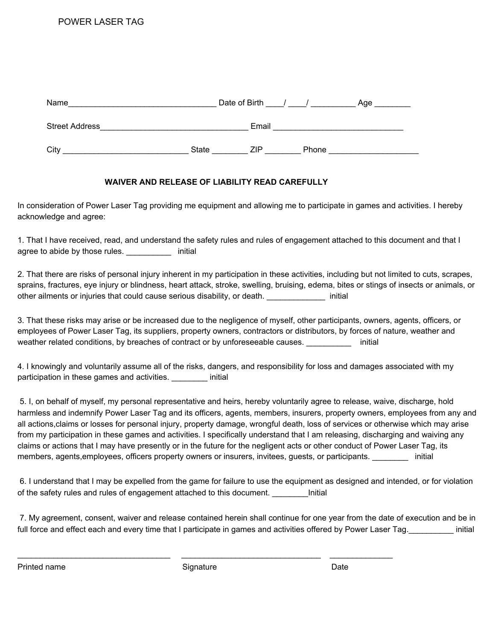| Name                  |       | Date of Birth |       | Age |
|-----------------------|-------|---------------|-------|-----|
| <b>Street Address</b> |       | Email         |       |     |
| City                  | State | ZIP           | Phone |     |

## **WAIVER AND RELEASE OF LIABILITY READ CAREFULLY**

In consideration of Power Laser Tag providing me equipment and allowing me to participate in games and activities. I hereby acknowledge and agree:

1. That I have received, read, and understand the safety rules and rules of engagement attached to this document and that I agree to abide by those rules. The second initial

2. That there are risks of personal injury inherent in my participation in these activities, including but not limited to cuts, scrapes, sprains, fractures, eye injury or blindness, heart attack, stroke, swelling, bruising, edema, bites or stings of insects or animals, or other ailments or injuries that could cause serious disability, or death. \_\_\_\_\_\_\_\_\_\_\_\_\_ initial

3. That these risks may arise or be increased due to the negligence of myself, other participants, owners, agents, officers, or employees of Power Laser Tag, its suppliers, property owners, contractors or distributors, by forces of nature, weather and weather related conditions, by breaches of contract or by unforeseeable causes. \_\_\_\_\_\_\_\_\_\_\_\_\_ initial

4. I knowingly and voluntarily assume all of the risks, dangers, and responsibility for loss and damages associated with my participation in these games and activities. \_\_\_\_\_\_\_\_ initial

5. I, on behalf of myself, my personal representative and heirs, hereby voluntarily agree to release, waive, discharge, hold harmless and indemnify Power Laser Tag and its officers, agents, members, insurers, property owners, employees from any and all actions,claims or losses for personal injury, property damage, wrongful death, loss of services or otherwise which may arise from my participation in these games and activities. I specifically understand that I am releasing, discharging and waiving any claims or actions that I may have presently or in the future for the negligent acts or other conduct of Power Laser Tag, its members, agents,employees, officers property owners or insurers, invitees, guests, or participants. \_\_\_\_\_\_\_\_ initial

6. I understand that I may be expelled from the game for failure to use the equipment as designed and intended, or for violation of the safety rules and rules of engagement attached to this document. \_\_\_\_\_\_\_\_Initial

7. My agreement, consent, waiver and release contained herein shall continue for one year from the date of execution and be in full force and effect each and every time that I participate in games and activities offered by Power Laser Tag. \_\_\_\_\_\_\_\_\_\_\_ initial

Printed name **Signature** Date Date **Date** Date **Date** Date Date

 $\_$  ,  $\_$  ,  $\_$  ,  $\_$  ,  $\_$  ,  $\_$  ,  $\_$  ,  $\_$  ,  $\_$  ,  $\_$  ,  $\_$  ,  $\_$  ,  $\_$  ,  $\_$  ,  $\_$  ,  $\_$  ,  $\_$  ,  $\_$  ,  $\_$  ,  $\_$